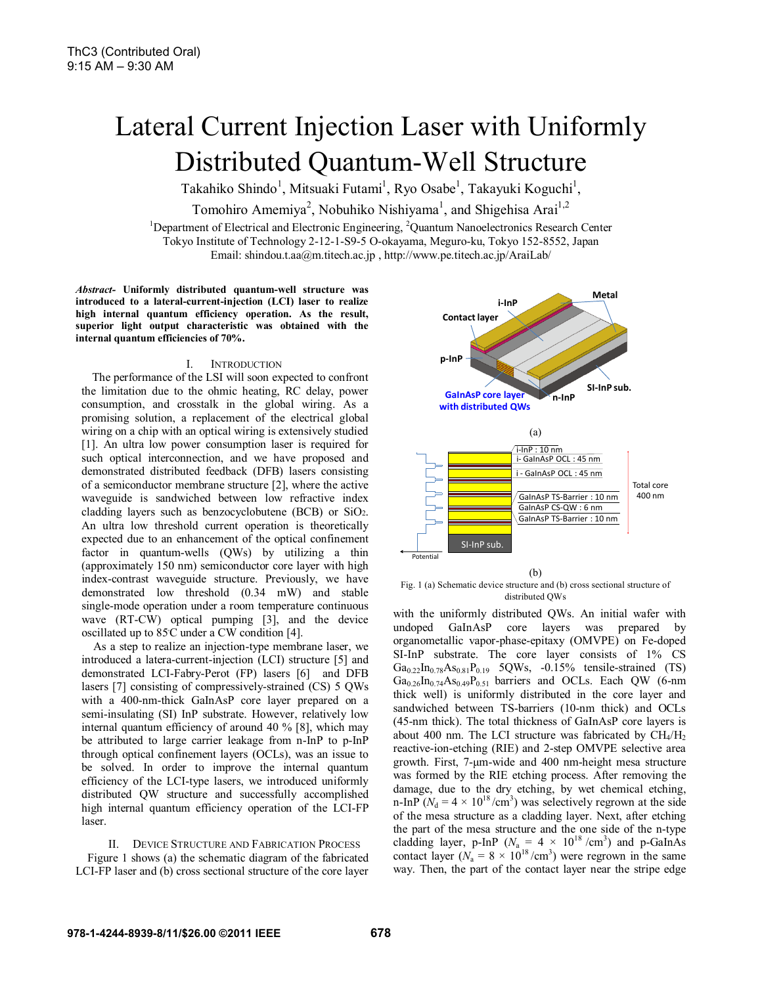# Lateral Current Injection Laser with Uniformly Distributed Quantum-Well Structure

Takahiko Shindo<sup>1</sup>, Mitsuaki Futami<sup>1</sup>, Ryo Osabe<sup>1</sup>, Takayuki Koguchi<sup>1</sup>,

Tomohiro Amemiya<sup>2</sup>, Nobuhiko Nishiyama<sup>1</sup>, and Shigehisa Arai<sup>1,2</sup>

<sup>1</sup>Department of Electrical and Electronic Engineering, <sup>2</sup>Quantum Nanoelectronics Research Center Tokyo Institute of Technology 2-12-1-S9-5 O-okayama, Meguro-ku, Tokyo 152-8552, Japan Email: shindou.t.aa@m.titech.ac.jp , http://www.pe.titech.ac.jp/AraiLab/

*Abstract-* **Uniformly distributed quantum-well structure was introduced to a lateral-current-injection (LCI) laser to realize high internal quantum efficiency operation. As the result, superior light output characteristic was obtained with the internal quantum efficiencies of 70%.** 

## I. INTRODUCTION

The performance of the LSI will soon expected to confront the limitation due to the ohmic heating, RC delay, power consumption, and crosstalk in the global wiring. As a promising solution, a replacement of the electrical global wiring on a chip with an optical wiring is extensively studied [1]. An ultra low power consumption laser is required for such optical interconnection, and we have proposed and demonstrated distributed feedback (DFB) lasers consisting of a semiconductor membrane structure [2], where the active waveguide is sandwiched between low refractive index cladding layers such as benzocyclobutene (BCB) or SiO2. An ultra low threshold current operation is theoretically expected due to an enhancement of the optical confinement factor in quantum-wells (QWs) by utilizing a thin (approximately 150 nm) semiconductor core layer with high index-contrast waveguide structure. Previously, we have demonstrated low threshold (0.34 mW) and stable single-mode operation under a room temperature continuous wave (RT-CW) optical pumping [3], and the device oscillated up to 85º C under a CW condition [4].

As a step to realize an injection-type membrane laser, we introduced a latera-current-injection (LCI) structure [5] and demonstrated LCI-Fabry-Perot (FP) lasers [6] and DFB lasers [7] consisting of compressively-strained (CS) 5 QWs with a 400-nm-thick GaInAsP core layer prepared on a semi-insulating (SI) InP substrate. However, relatively low internal quantum efficiency of around 40 % [8], which may be attributed to large carrier leakage from n-InP to p-InP through optical confinement layers (OCLs), was an issue to be solved. In order to improve the internal quantum efficiency of the LCI-type lasers, we introduced uniformly distributed QW structure and successfully accomplished high internal quantum efficiency operation of the LCI-FP laser.

II. DEVICE STRUCTURE AND FABRICATION PROCESS Figure 1 shows (a) the schematic diagram of the fabricated LCI-FP laser and (b) cross sectional structure of the core layer



 $(h)$ Fig. 1 (a) Schematic device structure and (b) cross sectional structure of distributed QWs

SI-InP sub.

Potential

with the uniformly distributed QWs. An initial wafer with undoped GaInAsP core layers was prepared by organometallic vapor-phase-epitaxy (OMVPE) on Fe-doped SI-InP substrate. The core layer consists of 1% CS  $Ga_{0.22}In_{0.78}As_{0.81}P_{0.19}$  5QWs, -0.15% tensile-strained (TS)  $Ga<sub>0.26</sub>In<sub>0.74</sub>As<sub>0.49</sub>P<sub>0.51</sub> barriers and OCLs. Each QW (6-nm)$ thick well) is uniformly distributed in the core layer and sandwiched between TS-barriers (10-nm thick) and OCLs (45-nm thick). The total thickness of GaInAsP core layers is about 400 nm. The LCI structure was fabricated by  $CH<sub>4</sub>/H<sub>2</sub>$ reactive-ion-etching (RIE) and 2-step OMVPE selective area growth. First, 7-μm-wide and 400 nm-height mesa structure was formed by the RIE etching process. After removing the damage, due to the dry etching, by wet chemical etching, n-InP ( $N_d = 4 \times 10^{18} / \text{cm}^3$ ) was selectively regrown at the side of the mesa structure as a cladding layer. Next, after etching the part of the mesa structure and the one side of the n-type cladding layer, p-InP ( $N_a = 4 \times 10^{18}$  /cm<sup>3</sup>) and p-GaInAs contact layer ( $N_a = 8 \times 10^{18}$ /cm<sup>3</sup>) were regrown in the same way. Then, the part of the contact layer near the stripe edge